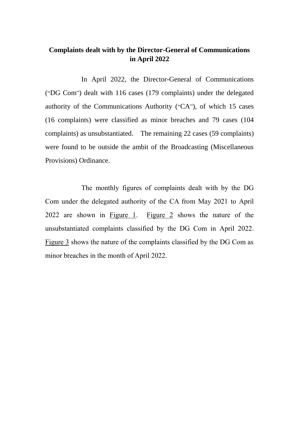## **Complaints dealt with by the Director-General of Communications in April 2022**

In April 2022, the Director-General of Communications ("DG Com") dealt with 116 cases (179 complaints) under the delegated authority of the Communications Authority ("CA"), of which 15 cases (16 complaints) were classified as minor breaches and 79 cases (104 complaints) as unsubstantiated. The remaining 22 cases (59 complaints) were found to be outside the ambit of the Broadcasting (Miscellaneous Provisions) Ordinance.

The monthly figures of complaints dealt with by the DG Com under the delegated authority of the CA from May 2021 to April 2022 are shown in Figure 1. Figure 2 shows the nature of the unsubstantiated complaints classified by the DG Com in April 2022. Figure 3 shows the nature of the complaints classified by the DG Com as minor breaches in the month of April 2022.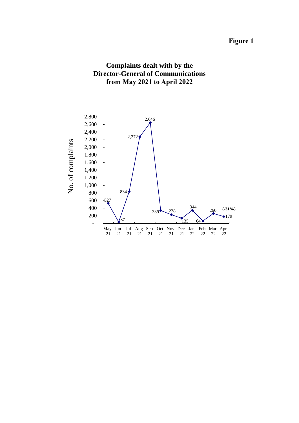## **Figure 1**



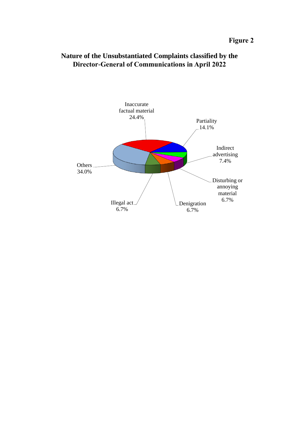

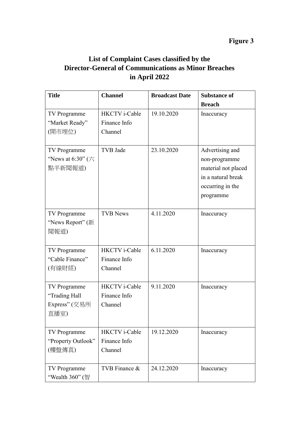## **Figure 3**

## **List of Complaint Cases classified by the Director-General of Communications as Minor Breaches in April 2022**

| <b>Title</b>                                                     | <b>Channel</b>                                  | <b>Broadcast Date</b> | <b>Substance of</b>                                                                                            |
|------------------------------------------------------------------|-------------------------------------------------|-----------------------|----------------------------------------------------------------------------------------------------------------|
|                                                                  |                                                 |                       | <b>Breach</b>                                                                                                  |
| TV Programme<br>"Market Ready"<br>(開市埋位)                         | <b>HKCTV</b> i-Cable<br>Finance Info<br>Channel | 19.10.2020            | Inaccuracy                                                                                                     |
| TV Programme<br>"News at 6:30" $(\overrightarrow{7})$<br>點半新聞報道) | TVB Jade                                        | 23.10.2020            | Advertising and<br>non-programme<br>material not placed<br>in a natural break<br>occurring in the<br>programme |
| TV Programme<br>"News Report" (新<br>聞報道)                         | <b>TVB News</b>                                 | 4.11.2020             | Inaccuracy                                                                                                     |
| TV Programme<br>"Cable Finance"<br>(有線財經)                        | <b>HKCTV</b> i-Cable<br>Finance Info<br>Channel | 6.11.2020             | Inaccuracy                                                                                                     |
| TV Programme<br>"Trading Hall<br>Express" (交易所<br>直播室)           | <b>HKCTV</b> i-Cable<br>Finance Info<br>Channel | 9.11.2020             | Inaccuracy                                                                                                     |
| TV Programme<br>"Property Outlook"<br>(樓盤傳真)                     | <b>HKCTV</b> i-Cable<br>Finance Info<br>Channel | 19.12.2020            | Inaccuracy                                                                                                     |
| TV Programme<br>"Wealth 360" (智                                  | TVB Finance &                                   | 24.12.2020            | Inaccuracy                                                                                                     |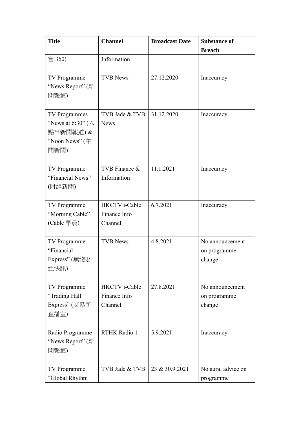| <b>Title</b>                          | <b>Channel</b>       | <b>Broadcast Date</b> | <b>Substance of</b> |
|---------------------------------------|----------------------|-----------------------|---------------------|
| 富 360)                                | Information          |                       | <b>Breach</b>       |
|                                       |                      |                       |                     |
| TV Programme                          | <b>TVB News</b>      | 27.12.2020            | Inaccuracy          |
| "News Report" (新                      |                      |                       |                     |
| 聞報道)                                  |                      |                       |                     |
| <b>TV Programmes</b>                  | TVB Jade & TVB       | 31.12.2020            | Inaccuracy          |
| "News at 6:30" $(\overrightarrow{7})$ | <b>News</b>          |                       |                     |
| 點半新聞報道)&                              |                      |                       |                     |
| "Noon News" $($ $\oplus$<br>間新聞)      |                      |                       |                     |
|                                       |                      |                       |                     |
| TV Programme                          | TVB Finance &        | 11.1.2021             | Inaccuracy          |
| "Financial News"                      | Information          |                       |                     |
| (財經新聞)                                |                      |                       |                     |
| TV Programme                          | HKCTV i-Cable        | 6.7.2021              | Inaccuracy          |
| "Morning Cable"                       | Finance Info         |                       |                     |
| (Cable 早晨)                            | Channel              |                       |                     |
| TV Programme                          | <b>TVB News</b>      | 4.8.2021              | No announcement     |
| "Financial                            |                      |                       | on programme        |
| Express"(無綫財                          |                      |                       | change              |
| 經快訊)                                  |                      |                       |                     |
| TV Programme                          | <b>HKCTV</b> i-Cable | 27.8.2021             | No announcement     |
| "Trading Hall                         | Finance Info         |                       | on programme        |
| Express" (交易所<br>直播室)                 | Channel              |                       | change              |
|                                       |                      |                       |                     |
| Radio Programme                       | RTHK Radio 1         | 5.9.2021              | Inaccuracy          |
| "News Report" (新                      |                      |                       |                     |
| 聞報道)                                  |                      |                       |                     |
| TV Programme                          | TVB Jade & TVB       | 23 & 30.9.2021        | No aural advice on  |
| "Global Rhythm                        |                      |                       | programme           |